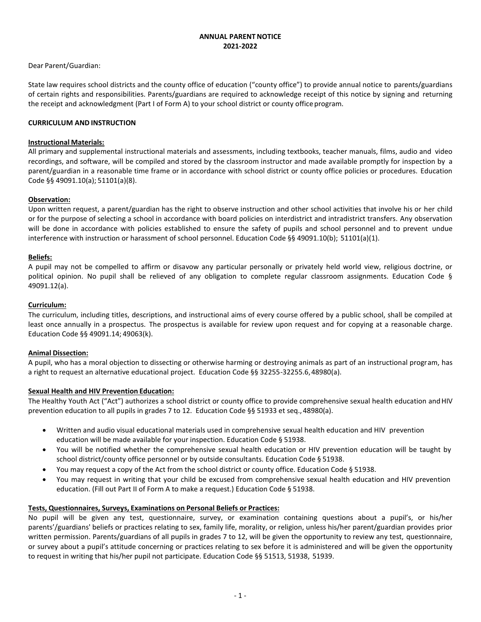## **ANNUAL PARENTNOTICE 2021-2022**

## Dear Parent/Guardian:

State law requires school districts and the county office of education ("county office") to provide annual notice to parents/guardians of certain rights and responsibilities. Parents/guardians are required to acknowledge receipt of this notice by signing and returning the receipt and acknowledgment (Part I of Form A) to your school district or county office program.

## **CURRICULUM AND INSTRUCTION**

### **Instructional Materials:**

All primary and supplemental instructional materials and assessments, including textbooks, teacher manuals, films, audio and video recordings, and software, will be compiled and stored by the classroom instructor and made available promptly for inspection by a parent/guardian in a reasonable time frame or in accordance with school district or county office policies or procedures. Education Code §§ 49091.10(a); 51101(a)(8).

### **Observation:**

Upon written request, a parent/guardian has the right to observe instruction and other school activities that involve his or her child or for the purpose of selecting a school in accordance with board policies on interdistrict and intradistrict transfers. Any observation will be done in accordance with policies established to ensure the safety of pupils and school personnel and to prevent undue interference with instruction or harassment of school personnel. Education Code §§ 49091.10(b); 51101(a)(1).

### **Beliefs:**

A pupil may not be compelled to affirm or disavow any particular personally or privately held world view, religious doctrine, or political opinion. No pupil shall be relieved of any obligation to complete regular classroom assignments. Education Code § 49091.12(a).

### **Curriculum:**

The curriculum, including titles, descriptions, and instructional aims of every course offered by a public school, shall be compiled at least once annually in a prospectus. The prospectus is available for review upon request and for copying at a reasonable charge. Education Code §§ 49091.14; 49063(k).

### **Animal Dissection:**

A pupil, who has a moral objection to dissecting or otherwise harming or destroying animals as part of an instructional program, has a right to request an alternative educational project. Education Code §§ 32255-32255.6,48980(a).

### **Sexual Health and HIV Prevention Education:**

The Healthy Youth Act ("Act") authorizes a school district or county office to provide comprehensive sexual health education andHIV prevention education to all pupils in grades 7 to 12. Education Code §§ 51933 et seq., 48980(a).

- Written and audio visual educational materials used in comprehensive sexual health education and HIV prevention education will be made available for your inspection. Education Code § 51938.
- You will be notified whether the comprehensive sexual health education or HIV prevention education will be taught by school district/county office personnel or by outside consultants. Education Code § 51938.
- You may request a copy of the Act from the school district or county office. Education Code § 51938.
- You may request in writing that your child be excused from comprehensive sexual health education and HIV prevention education. (Fill out Part II of Form A to make a request.) Education Code § 51938.

## **Tests, Questionnaires, Surveys, Examinations on Personal Beliefs or Practices:**

No pupil will be given any test, questionnaire, survey, or examination containing questions about a pupil's, or his/her parents'/guardians' beliefs or practices relating to sex, family life, morality, or religion, unless his/her parent/guardian provides prior written permission. Parents/guardians of all pupils in grades 7 to 12, will be given the opportunity to review any test, questionnaire, or survey about a pupil's attitude concerning or practices relating to sex before it is administered and will be given the opportunity to request in writing that his/her pupil not participate. Education Code §§ 51513, 51938, 51939.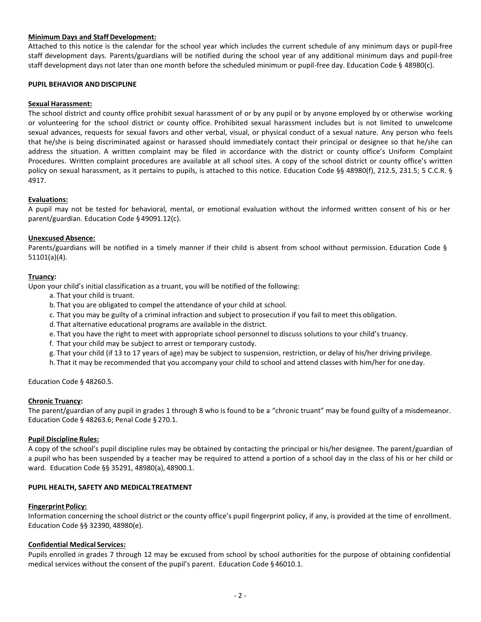## **Minimum Days and Staff Development:**

Attached to this notice is the calendar for the school year which includes the current schedule of any minimum days or pupil-free staff development days. Parents/guardians will be notified during the school year of any additional minimum days and pupil-free staff development days not later than one month before the scheduled minimum or pupil-free day. Education Code § 48980(c).

### **PUPIL BEHAVIOR AND DISCIPLINE**

### **Sexual Harassment:**

The school district and county office prohibit sexual harassment of or by any pupil or by anyone employed by or otherwise working or volunteering for the school district or county office. Prohibited sexual harassment includes but is not limited to unwelcome sexual advances, requests for sexual favors and other verbal, visual, or physical conduct of a sexual nature. Any person who feels that he/she is being discriminated against or harassed should immediately contact their principal or designee so that he/she can address the situation. A written complaint may be filed in accordance with the district or county office's Uniform Complaint Procedures. Written complaint procedures are available at all school sites. A copy of the school district or county office's written policy on sexual harassment, as it pertains to pupils, is attached to this notice. Education Code §§ 48980(f), 212.5, 231.5; 5 C.C.R. § 4917.

### **Evaluations:**

A pupil may not be tested for behavioral, mental, or emotional evaluation without the informed written consent of his or her parent/guardian. Education Code § 49091.12(c).

### **Unexcused Absence:**

Parents/guardians will be notified in a timely manner if their child is absent from school without permission. Education Code § 51101(a)(4).

### **Truancy:**

Upon your child's initial classification as a truant, you will be notified of the following:

- a. That your child is truant.
- b. That you are obligated to compel the attendance of your child at school.
- c. That you may be guilty of a criminal infraction and subject to prosecution if you fail to meet this obligation.
- d. That alternative educational programs are available in the district.
- e. That you have the right to meet with appropriate school personnel to discuss solutions to your child's truancy.
- f. That your child may be subject to arrest or temporary custody.
- g. That your child (if 13 to 17 years of age) may be subject to suspension, restriction, or delay of his/her driving privilege.
- h. That it may be recommended that you accompany your child to school and attend classes with him/her for oneday.

Education Code § 48260.5.

### **Chronic Truancy:**

The parent/guardian of any pupil in grades 1 through 8 who is found to be a "chronic truant" may be found guilty of a misdemeanor. Education Code § 48263.6; Penal Code § 270.1.

### **Pupil Discipline Rules:**

A copy of the school's pupil discipline rules may be obtained by contacting the principal or his/her designee. The parent/guardian of a pupil who has been suspended by a teacher may be required to attend a portion of a school day in the class of his or her child or ward. Education Code §§ 35291, 48980(a), 48900.1.

### **PUPIL HEALTH, SAFETY AND MEDICALTREATMENT**

### **Fingerprint Policy:**

Information concerning the school district or the county office's pupil fingerprint policy, if any, is provided at the time of enrollment. Education Code §§ 32390, 48980(e).

### **Confidential Medical Services:**

Pupils enrolled in grades 7 through 12 may be excused from school by school authorities for the purpose of obtaining confidential medical services without the consent of the pupil's parent. Education Code §46010.1.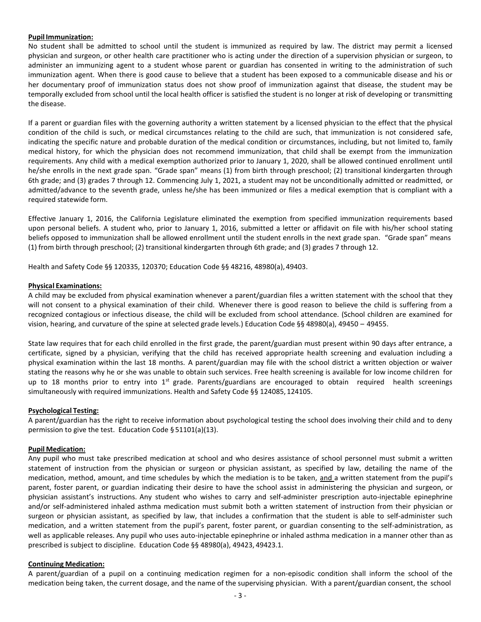### **Pupil Immunization:**

No student shall be admitted to school until the student is immunized as required by law. The district may permit a licensed physician and surgeon, or other health care practitioner who is acting under the direction of a supervision physician or surgeon, to administer an immunizing agent to a student whose parent or guardian has consented in writing to the administration of such immunization agent. When there is good cause to believe that a student has been exposed to a communicable disease and his or her documentary proof of immunization status does not show proof of immunization against that disease, the student may be temporally excluded from school until the local health officer is satisfied the student is no longer at risk of developing or transmitting the disease.

If a parent or guardian files with the governing authority a written statement by a licensed physician to the effect that the physical condition of the child is such, or medical circumstances relating to the child are such, that immunization is not considered safe, indicating the specific nature and probable duration of the medical condition or circumstances, including, but not limited to, family medical history, for which the physician does not recommend immunization, that child shall be exempt from the immunization requirements. Any child with a medical exemption authorized prior to January 1, 2020, shall be allowed continued enrollment until he/she enrolls in the next grade span. "Grade span" means (1) from birth through preschool; (2) transitional kindergarten through 6th grade; and (3) grades 7 through 12. Commencing July 1, 2021, a student may not be unconditionally admitted or readmitted, or admitted/advance to the seventh grade, unless he/she has been immunized or files a medical exemption that is compliant with a required statewide form.

Effective January 1, 2016, the California Legislature eliminated the exemption from specified immunization requirements based upon personal beliefs. A student who, prior to January 1, 2016, submitted a letter or affidavit on file with his/her school stating beliefs opposed to immunization shall be allowed enrollment until the student enrolls in the next grade span. "Grade span" means (1) from birth through preschool; (2) transitional kindergarten through 6th grade; and (3) grades 7 through 12.

Health and Safety Code §§ 120335, 120370; Education Code §§ 48216, 48980(a), 49403.

### **Physical Examinations:**

A child may be excluded from physical examination whenever a parent/guardian files a written statement with the school that they will not consent to a physical examination of their child. Whenever there is good reason to believe the child is suffering from a recognized contagious or infectious disease, the child will be excluded from school attendance. (School children are examined for vision, hearing, and curvature of the spine at selected grade levels.) Education Code §§ 48980(a), 49450 – 49455.

State law requires that for each child enrolled in the first grade, the parent/guardian must present within 90 days after entrance, a certificate, signed by a physician, verifying that the child has received appropriate health screening and evaluation including a physical examination within the last 18 months. A parent/guardian may file with the school district a written objection or waiver stating the reasons why he or she was unable to obtain such services. Free health screening is available for low income children for up to 18 months prior to entry into  $1^{st}$  grade. Parents/guardians are encouraged to obtain required health screenings simultaneously with required immunizations. Health and Safety Code §§ 124085, 124105.

## **Psychological Testing:**

A parent/guardian has the right to receive information about psychological testing the school does involving their child and to deny permission to give the test. Education Code § 51101(a)(13).

## **Pupil Medication:**

Any pupil who must take prescribed medication at school and who desires assistance of school personnel must submit a written statement of instruction from the physician or surgeon or physician assistant, as specified by law, detailing the name of the medication, method, amount, and time schedules by which the mediation is to be taken, and a written statement from the pupil's parent, foster parent, or guardian indicating their desire to have the school assist in administering the physician and surgeon, or physician assistant's instructions. Any student who wishes to carry and self-administer prescription auto-injectable epinephrine and/or self-administered inhaled asthma medication must submit both a written statement of instruction from their physician or surgeon or physician assistant, as specified by law, that includes a confirmation that the student is able to self-administer such medication, and a written statement from the pupil's parent, foster parent, or guardian consenting to the self-administration, as well as applicable releases. Any pupil who uses auto-injectable epinephrine or inhaled asthma medication in a manner other than as prescribed is subject to discipline. Education Code §§ 48980(a), 49423, 49423.1.

### **Continuing Medication:**

A parent/guardian of a pupil on a continuing medication regimen for a non-episodic condition shall inform the school of the medication being taken, the current dosage, and the name of the supervising physician. With a parent/guardian consent, the school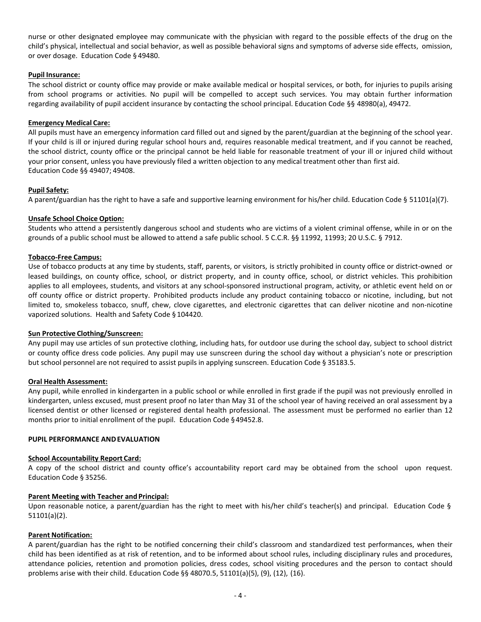nurse or other designated employee may communicate with the physician with regard to the possible effects of the drug on the child's physical, intellectual and social behavior, as well as possible behavioral signs and symptoms of adverse side effects, omission, or over dosage. Education Code § 49480.

### **Pupil Insurance:**

The school district or county office may provide or make available medical or hospital services, or both, for injuries to pupils arising from school programs or activities. No pupil will be compelled to accept such services. You may obtain further information regarding availability of pupil accident insurance by contacting the school principal. Education Code §§ 48980(a), 49472.

### **Emergency Medical Care:**

All pupils must have an emergency information card filled out and signed by the parent/guardian at the beginning of the school year. If your child is ill or injured during regular school hours and, requires reasonable medical treatment, and if you cannot be reached, the school district, county office or the principal cannot be held liable for reasonable treatment of your ill or injured child without your prior consent, unless you have previously filed a written objection to any medical treatment other than first aid. Education Code §§ 49407; 49408.

## **Pupil Safety:**

A parent/guardian has the right to have a safe and supportive learning environment for his/her child. Education Code § 51101(a)(7).

### **Unsafe School Choice Option:**

Students who attend a persistently dangerous school and students who are victims of a violent criminal offense, while in or on the grounds of a public school must be allowed to attend a safe public school. 5 C.C.R. §§ 11992, 11993; 20 U.S.C. § 7912.

### **Tobacco-Free Campus:**

Use of tobacco products at any time by students, staff, parents, or visitors, is strictly prohibited in county office or district-owned or leased buildings, on county office, school, or district property, and in county office, school, or district vehicles. This prohibition applies to all employees, students, and visitors at any school-sponsored instructional program, activity, or athletic event held on or off county office or district property. Prohibited products include any product containing tobacco or nicotine, including, but not limited to, smokeless tobacco, snuff, chew, clove cigarettes, and electronic cigarettes that can deliver nicotine and non-nicotine vaporized solutions. Health and Safety Code § 104420.

### **Sun Protective Clothing/Sunscreen:**

Any pupil may use articles of sun protective clothing, including hats, for outdoor use during the school day, subject to school district or county office dress code policies. Any pupil may use sunscreen during the school day without a physician's note or prescription but school personnel are not required to assist pupils in applying sunscreen. Education Code § 35183.5.

### **Oral Health Assessment:**

Any pupil, while enrolled in kindergarten in a public school or while enrolled in first grade if the pupil was not previously enrolled in kindergarten, unless excused, must present proof no later than May 31 of the school year of having received an oral assessment by a licensed dentist or other licensed or registered dental health professional. The assessment must be performed no earlier than 12 months prior to initial enrollment of the pupil. Education Code §49452.8.

### **PUPIL PERFORMANCE ANDEVALUATION**

### **School Accountability Report Card:**

A copy of the school district and county office's accountability report card may be obtained from the school upon request. Education Code § 35256.

### **Parent Meeting with Teacher and Principal:**

Upon reasonable notice, a parent/guardian has the right to meet with his/her child's teacher(s) and principal. Education Code § 51101(a)(2).

### **Parent Notification:**

A parent/guardian has the right to be notified concerning their child's classroom and standardized test performances, when their child has been identified as at risk of retention, and to be informed about school rules, including disciplinary rules and procedures, attendance policies, retention and promotion policies, dress codes, school visiting procedures and the person to contact should problems arise with their child. Education Code §§ 48070.5, 51101(a)(5), (9), (12), (16).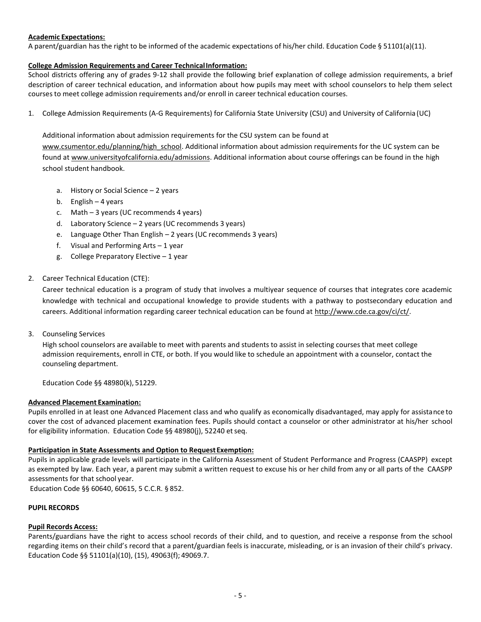## **Academic Expectations:**

A parent/guardian has the right to be informed of the academic expectations of his/her child. Education Code § 51101(a)(11).

### **College Admission Requirements and Career TechnicalInformation:**

School districts offering any of grades 9-12 shall provide the following brief explanation of college admission requirements, a brief description of career technical education, and information about how pupils may meet with school counselors to help them select courses to meet college admission requirements and/or enroll in career technical education courses.

1. College Admission Requirements (A-G Requirements) for California State University (CSU) and University of California (UC)

## Additional information about admission requirements for the CSU system can be found at

[www.csumentor.edu/planning/high\\_school.](http://www.csumentor.edu/planning/high_school) Additional information about admission requirements for the UC system can be found a[t www.universityofcalifornia.edu/admissions.](http://www.universityofcalifornia.edu/admissions) Additional information about course offerings can be found in the high school student handbook.

- a. History or Social Science 2 years
- b. English 4 years
- c. Math 3 years (UC recommends 4 years)
- d. Laboratory Science 2 years (UC recommends 3 years)
- e. Language Other Than English 2 years (UC recommends 3 years)
- f. Visual and Performing Arts 1 year
- g. College Preparatory Elective 1 year
- 2. Career Technical Education (CTE):

Career technical education is a program of study that involves a multiyear sequence of courses that integrates core academic knowledge with technical and occupational knowledge to provide students with a pathway to postsecondary education and careers. Additional information regarding career technical education can be found at [http://www.cde.ca.gov/ci/ct/.](http://www.cde.ca.gov/ci/ct/)

3. Counseling Services

High school counselors are available to meet with parents and students to assist in selecting courses that meet college admission requirements, enroll in CTE, or both. If you would like to schedule an appointment with a counselor, contact the counseling department.

Education Code §§ 48980(k), 51229.

## **Advanced Placement Examination:**

Pupils enrolled in at least one Advanced Placement class and who qualify as economically disadvantaged, may apply for assistance to cover the cost of advanced placement examination fees. Pupils should contact a counselor or other administrator at his/her school for eligibility information. Education Code §§ 48980(j), 52240 etseq.

## Participation in State Assessments and Option to Request Exemption:

Pupils in applicable grade levels will participate in the California Assessment of Student Performance and Progress (CAASPP) except as exempted by law. Each year, a parent may submit a written request to excuse his or her child from any or all parts of the CAASPP assessments for that school year.

Education Code §§ 60640, 60615, 5 C.C.R. § 852.

## **PUPIL RECORDS**

## **Pupil Records Access:**

Parents/guardians have the right to access school records of their child, and to question, and receive a response from the school regarding items on their child's record that a parent/guardian feels is inaccurate, misleading, or is an invasion of their child's privacy. Education Code §§ 51101(a)(10), (15), 49063(f); 49069.7.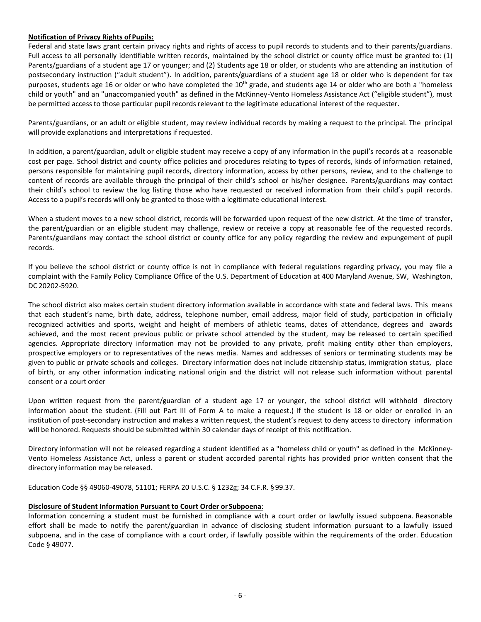## **Notification of Privacy Rights ofPupils:**

Federal and state laws grant certain privacy rights and rights of access to pupil records to students and to their parents/guardians. Full access to all personally identifiable written records, maintained by the school district or county office must be granted to: (1) Parents/guardians of a student age 17 or younger; and (2) Students age 18 or older, or students who are attending an institution of postsecondary instruction ("adult student"). In addition, parents/guardians of a student age 18 or older who is dependent for tax purposes, students age 16 or older or who have completed the 10<sup>th</sup> grade, and students age 14 or older who are both a "homeless child or youth" and an "unaccompanied youth" as defined in the McKinney-Vento Homeless Assistance Act ("eligible student"), must be permitted access to those particular pupil records relevant to the legitimate educational interest of the requester.

Parents/guardians, or an adult or eligible student, may review individual records by making a request to the principal. The principal will provide explanations and interpretations ifrequested.

In addition, a parent/guardian, adult or eligible student may receive a copy of any information in the pupil's records at a reasonable cost per page. School district and county office policies and procedures relating to types of records, kinds of information retained, persons responsible for maintaining pupil records, directory information, access by other persons, review, and to the challenge to content of records are available through the principal of their child's school or his/her designee. Parents/guardians may contact their child's school to review the log listing those who have requested or received information from their child's pupil records. Access to a pupil's records will only be granted to those with a legitimate educational interest.

When a student moves to a new school district, records will be forwarded upon request of the new district. At the time of transfer, the parent/guardian or an eligible student may challenge, review or receive a copy at reasonable fee of the requested records. Parents/guardians may contact the school district or county office for any policy regarding the review and expungement of pupil records.

If you believe the school district or county office is not in compliance with federal regulations regarding privacy, you may file a complaint with the Family Policy Compliance Office of the U.S. Department of Education at 400 Maryland Avenue, SW, Washington, DC 20202-5920.

The school district also makes certain student directory information available in accordance with state and federal laws. This means that each student's name, birth date, address, telephone number, email address, major field of study, participation in officially recognized activities and sports, weight and height of members of athletic teams, dates of attendance, degrees and awards achieved, and the most recent previous public or private school attended by the student, may be released to certain specified agencies. Appropriate directory information may not be provided to any private, profit making entity other than employers, prospective employers or to representatives of the news media. Names and addresses of seniors or terminating students may be given to public or private schools and colleges. Directory information does not include citizenship status, immigration status, place of birth, or any other information indicating national origin and the district will not release such information without parental consent or a court order

Upon written request from the parent/guardian of a student age 17 or younger, the school district will withhold directory information about the student. (Fill out Part III of Form A to make a request.) If the student is 18 or older or enrolled in an institution of post-secondary instruction and makes a written request, the student's request to deny access to directory information will be honored. Requests should be submitted within 30 calendar days of receipt of this notification.

Directory information will not be released regarding a student identified as a "homeless child or youth" as defined in the McKinney-Vento Homeless Assistance Act, unless a parent or student accorded parental rights has provided prior written consent that the directory information may be released.

Education Code §§ 49060-49078, 51101; FERPA 20 U.S.C. § 1232g; 34 C.F.R. §99.37.

## **Disclosure of Student Information Pursuant to Court Order orSubpoena**:

Information concerning a student must be furnished in compliance with a court order or lawfully issued subpoena. Reasonable effort shall be made to notify the parent/guardian in advance of disclosing student information pursuant to a lawfully issued subpoena, and in the case of compliance with a court order, if lawfully possible within the requirements of the order. Education Code § 49077.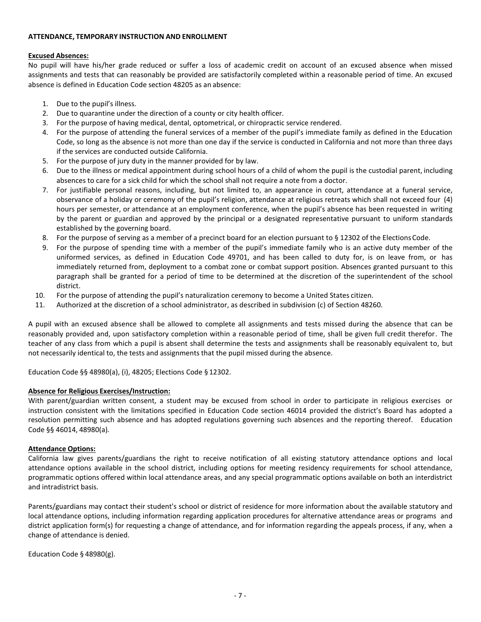### **ATTENDANCE, TEMPORARY INSTRUCTION AND ENROLLMENT**

### **Excused Absences:**

No pupil will have his/her grade reduced or suffer a loss of academic credit on account of an excused absence when missed assignments and tests that can reasonably be provided are satisfactorily completed within a reasonable period of time. An excused absence is defined in Education Code section 48205 as an absence:

- 1. Due to the pupil's illness.
- 2. Due to quarantine under the direction of a county or city health officer.
- 3. For the purpose of having medical, dental, optometrical, or chiropractic service rendered.
- 4. For the purpose of attending the funeral services of a member of the pupil's immediate family as defined in the Education Code, so long as the absence is not more than one day if the service is conducted in California and not more than three days if the services are conducted outside California.
- 5. For the purpose of jury duty in the manner provided for by law.
- 6. Due to the illness or medical appointment during school hours of a child of whom the pupil is the custodial parent, including absences to care for a sick child for which the school shall not require a note from a doctor.
- 7. For justifiable personal reasons, including, but not limited to, an appearance in court, attendance at a funeral service, observance of a holiday or ceremony of the pupil's religion, attendance at religious retreats which shall not exceed four (4) hours per semester, or attendance at an employment conference, when the pupil's absence has been requested in writing by the parent or guardian and approved by the principal or a designated representative pursuant to uniform standards established by the governing board.
- 8. For the purpose of serving as a member of a precinct board for an election pursuant to § 12302 of the Elections Code.
- 9. For the purpose of spending time with a member of the pupil's immediate family who is an active duty member of the uniformed services, as defined in Education Code 49701, and has been called to duty for, is on leave from, or has immediately returned from, deployment to a combat zone or combat support position. Absences granted pursuant to this paragraph shall be granted for a period of time to be determined at the discretion of the superintendent of the school district.
- 10. For the purpose of attending the pupil's naturalization ceremony to become a United States citizen.
- 11. Authorized at the discretion of a school administrator, as described in subdivision (c) of Section 48260.

A pupil with an excused absence shall be allowed to complete all assignments and tests missed during the absence that can be reasonably provided and, upon satisfactory completion within a reasonable period of time, shall be given full credit therefor. The teacher of any class from which a pupil is absent shall determine the tests and assignments shall be reasonably equivalent to, but not necessarily identical to, the tests and assignments that the pupil missed during the absence.

Education Code §§ 48980(a), (i), 48205; Elections Code § 12302.

## **Absence for Religious Exercises/Instruction:**

With parent/guardian written consent, a student may be excused from school in order to participate in religious exercises or instruction consistent with the limitations specified in Education Code section 46014 provided the district's Board has adopted a resolution permitting such absence and has adopted regulations governing such absences and the reporting thereof. Education Code §§ 46014, 48980(a)*.*

## **Attendance Options:**

California law gives parents/guardians the right to receive notification of all existing statutory attendance options and local attendance options available in the school district, including options for meeting residency requirements for school attendance, programmatic options offered within local attendance areas, and any special programmatic options available on both an interdistrict and intradistrict basis.

Parents/guardians may contact their student's school or district of residence for more information about the available statutory and local attendance options, including information regarding application procedures for alternative attendance areas or programs and district application form(s) for requesting a change of attendance, and for information regarding the appeals process, if any, when a change of attendance is denied.

Education Code § 48980(g).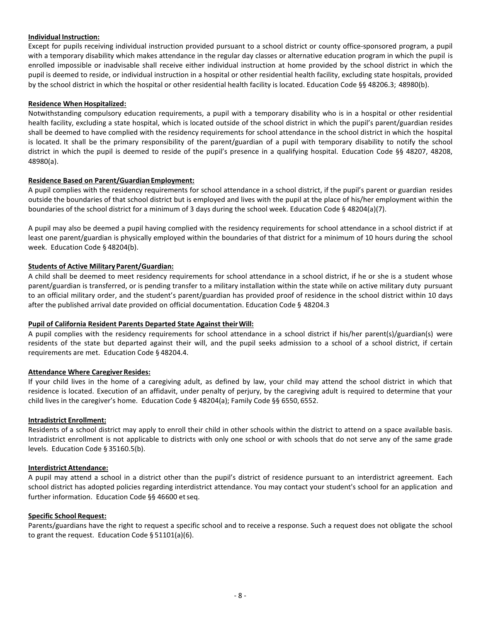## **Individual Instruction:**

Except for pupils receiving individual instruction provided pursuant to a school district or county office-sponsored program, a pupil with a temporary disability which makes attendance in the regular day classes or alternative education program in which the pupil is enrolled impossible or inadvisable shall receive either individual instruction at home provided by the school district in which the pupil is deemed to reside, or individual instruction in a hospital or other residential health facility, excluding state hospitals, provided by the school district in which the hospital or other residential health facility is located. Education Code §§ 48206.3; 48980(b).

## **Residence When Hospitalized:**

Notwithstanding compulsory education requirements, a pupil with a temporary disability who is in a hospital or other residential health facility, excluding a state hospital, which is located outside of the school district in which the pupil's parent/guardian resides shall be deemed to have complied with the residency requirements for school attendance in the school district in which the hospital is located. It shall be the primary responsibility of the parent/guardian of a pupil with temporary disability to notify the school district in which the pupil is deemed to reside of the pupil's presence in a qualifying hospital. Education Code §§ 48207, 48208, 48980(a).

### **Residence Based on Parent/Guardian Employment:**

A pupil complies with the residency requirements for school attendance in a school district, if the pupil's parent or guardian resides outside the boundaries of that school district but is employed and lives with the pupil at the place of his/her employment within the boundaries of the school district for a minimum of 3 days during the school week. Education Code § 48204(a)(7).

A pupil may also be deemed a pupil having complied with the residency requirements for school attendance in a school district if at least one parent/guardian is physically employed within the boundaries of that district for a minimum of 10 hours during the school week. Education Code § 48204(b).

### **Students of Active Military Parent/Guardian:**

A child shall be deemed to meet residency requirements for school attendance in a school district, if he or she is a student whose parent/guardian is transferred, or is pending transfer to a military installation within the state while on active military duty pursuant to an official military order, and the student's parent/guardian has provided proof of residence in the school district within 10 days after the published arrival date provided on official documentation. Education Code § 48204.3

### **Pupil of California Resident Parents Departed State Against their Will:**

A pupil complies with the residency requirements for school attendance in a school district if his/her parent(s)/guardian(s) were residents of the state but departed against their will, and the pupil seeks admission to a school of a school district, if certain requirements are met. Education Code § 48204.4.

### **Attendance Where Caregiver Resides:**

If your child lives in the home of a caregiving adult, as defined by law, your child may attend the school district in which that residence is located. Execution of an affidavit, under penalty of perjury, by the caregiving adult is required to determine that your child lives in the caregiver's home. Education Code § 48204(a); Family Code §§ 6550, 6552.

### **Intradistrict Enrollment:**

Residents of a school district may apply to enroll their child in other schools within the district to attend on a space available basis. Intradistrict enrollment is not applicable to districts with only one school or with schools that do not serve any of the same grade levels. Education Code § 35160.5(b).

### **Interdistrict Attendance:**

A pupil may attend a school in a district other than the pupil's district of residence pursuant to an interdistrict agreement. Each school district has adopted policies regarding interdistrict attendance. You may contact your student's school for an application and further information. Education Code §§ 46600 et seq.

### **Specific School Request:**

Parents/guardians have the right to request a specific school and to receive a response. Such a request does not obligate the school to grant the request. Education Code § 51101(a)(6).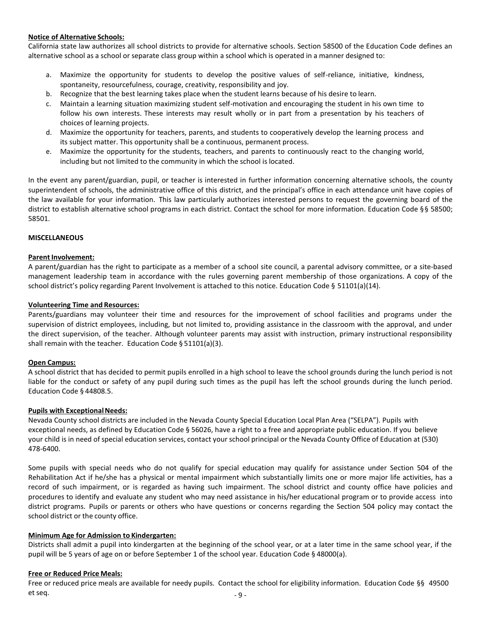### **Notice of Alternative Schools:**

California state law authorizes all school districts to provide for alternative schools. Section 58500 of the Education Code defines an alternative school as a school or separate class group within a school which is operated in a manner designed to:

- a. Maximize the opportunity for students to develop the positive values of self-reliance, initiative, kindness, spontaneity, resourcefulness, courage, creativity, responsibility and joy.
- b. Recognize that the best learning takes place when the student learns because of his desire to learn.
- c. Maintain a learning situation maximizing student self-motivation and encouraging the student in his own time to follow his own interests. These interests may result wholly or in part from a presentation by his teachers of choices of learning projects.
- d. Maximize the opportunity for teachers, parents, and students to cooperatively develop the learning process and its subject matter. This opportunity shall be a continuous, permanent process.
- e. Maximize the opportunity for the students, teachers, and parents to continuously react to the changing world, including but not limited to the community in which the school is located.

In the event any parent/guardian, pupil, or teacher is interested in further information concerning alternative schools, the county superintendent of schools, the administrative office of this district, and the principal's office in each attendance unit have copies of the law available for your information. This law particularly authorizes interested persons to request the governing board of the district to establish alternative school programs in each district. Contact the school for more information. Education Code §§ 58500; 58501.

### **MISCELLANEOUS**

### **Parent Involvement:**

A parent/guardian has the right to participate as a member of a school site council, a parental advisory committee, or a site-based management leadership team in accordance with the rules governing parent membership of those organizations. A copy of the school district's policy regarding Parent Involvement is attached to this notice. Education Code § 51101(a)(14).

#### **Volunteering Time and Resources:**

Parents/guardians may volunteer their time and resources for the improvement of school facilities and programs under the supervision of district employees, including, but not limited to, providing assistance in the classroom with the approval, and under the direct supervision, of the teacher. Although volunteer parents may assist with instruction, primary instructional responsibility shall remain with the teacher. Education Code § 51101(a)(3).

### **Open Campus:**

A school district that has decided to permit pupils enrolled in a high school to leave the school grounds during the lunch period is not liable for the conduct or safety of any pupil during such times as the pupil has left the school grounds during the lunch period. Education Code § 44808.5.

### **Pupils with Exceptional Needs:**

Nevada County school districts are included in the Nevada County Special Education Local Plan Area ("SELPA"). Pupils with exceptional needs, as defined by Education Code § 56026, have a right to a free and appropriate public education. If you believe your child is in need of special education services, contact your school principal or the Nevada County Office of Education at (530) 478-6400.

Some pupils with special needs who do not qualify for special education may qualify for assistance under Section 504 of the Rehabilitation Act if he/she has a physical or mental impairment which substantially limits one or more major life activities, has a record of such impairment, or is regarded as having such impairment. The school district and county office have policies and procedures to identify and evaluate any student who may need assistance in his/her educational program or to provide access into district programs. Pupils or parents or others who have questions or concerns regarding the Section 504 policy may contact the school district or the county office.

### **Minimum Age for Admission to Kindergarten:**

Districts shall admit a pupil into kindergarten at the beginning of the school year, or at a later time in the same school year, if the pupil will be 5 years of age on or before September 1 of the school year. Education Code § 48000(a).

### **Free or Reduced Price Meals:**

Free or reduced price meals are available for needy pupils. Contact the school for eligibility information. Education Code §§ 49500 et seq. - 9 -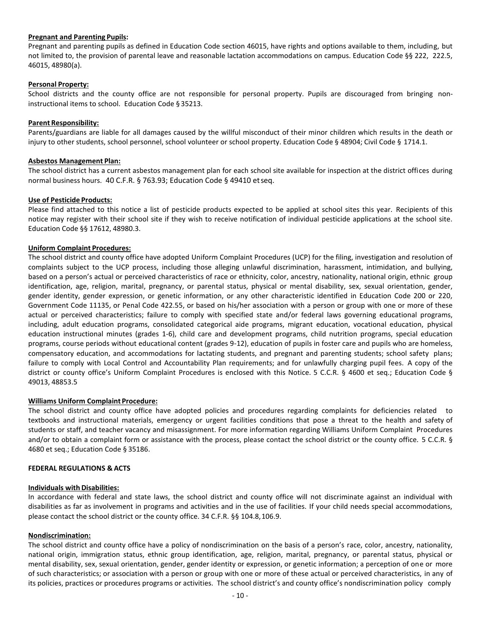### **Pregnant and Parenting Pupils:**

Pregnant and parenting pupils as defined in Education Code section 46015, have rights and options available to them, including, but not limited to, the provision of parental leave and reasonable lactation accommodations on campus. Education Code §§ 222, 222.5, 46015, 48980(a).

### **Personal Property:**

School districts and the county office are not responsible for personal property. Pupils are discouraged from bringing noninstructional items to school. Education Code § 35213.

### **Parent Responsibility:**

Parents/guardians are liable for all damages caused by the willful misconduct of their minor children which results in the death or injury to other students, school personnel, school volunteer or school property. Education Code § 48904; Civil Code § 1714.1.

### **Asbestos Management Plan:**

The school district has a current asbestos management plan for each school site available for inspection at the district offices during normal business hours. 40 C.F.R. § 763.93; Education Code § 49410 etseq.

### **Use of Pesticide Products:**

Please find attached to this notice a list of pesticide products expected to be applied at school sites this year. Recipients of this notice may register with their school site if they wish to receive notification of individual pesticide applications at the school site. Education Code §§ 17612, 48980.3.

## **Uniform Complaint Procedures:**

The school district and county office have adopted Uniform Complaint Procedures (UCP) for the filing, investigation and resolution of complaints subject to the UCP process, including those alleging unlawful discrimination, harassment, intimidation, and bullying, based on a person's actual or perceived characteristics of race or ethnicity, color, ancestry, nationality, national origin, ethnic group identification, age, religion, marital, pregnancy, or parental status, physical or mental disability, sex, sexual orientation, gender, gender identity, gender expression, or genetic information, or any other characteristic identified in Education Code 200 or 220, Government Code 11135, or Penal Code 422.55, or based on his/her association with a person or group with one or more of these actual or perceived characteristics; failure to comply with specified state and/or federal laws governing educational programs, including, adult education programs, consolidated categorical aide programs, migrant education, vocational education, physical education instructional minutes (grades 1-6), child care and development programs, child nutrition programs, special education programs, course periods without educational content (grades 9-12), education of pupils in foster care and pupils who are homeless, compensatory education, and accommodations for lactating students, and pregnant and parenting students; school safety plans; failure to comply with Local Control and Accountability Plan requirements; and for unlawfully charging pupil fees. A copy of the district or county office's Uniform Complaint Procedures is enclosed with this Notice. 5 C.C.R. § 4600 et seq.; Education Code § 49013, 48853.5

### **Williams Uniform Complaint Procedure:**

The school district and county office have adopted policies and procedures regarding complaints for deficiencies related to textbooks and instructional materials, emergency or urgent facilities conditions that pose a threat to the health and safety of students or staff, and teacher vacancy and misassignment. For more information regarding Williams Uniform Complaint Procedures and/or to obtain a complaint form or assistance with the process, please contact the school district or the county office. 5 C.C.R. § 4680 et seq.; Education Code § 35186.

### **FEDERAL REGULATIONS & ACTS**

### **Individuals with Disabilities:**

In accordance with federal and state laws, the school district and county office will not discriminate against an individual with disabilities as far as involvement in programs and activities and in the use of facilities. If your child needs special accommodations, please contact the school district or the county office. 34 C.F.R. §§ 104.8,106.9.

## **Nondiscrimination:**

The school district and county office have a policy of nondiscrimination on the basis of a person's race, color, ancestry, nationality, national origin, immigration status, ethnic group identification, age, religion, marital, pregnancy, or parental status, physical or mental disability, sex, sexual orientation, gender, gender identity or expression, or genetic information; a perception of one or more of such characteristics; or association with a person or group with one or more of these actual or perceived characteristics, in any of its policies, practices or procedures programs or activities. The school district's and county office's nondiscrimination policy comply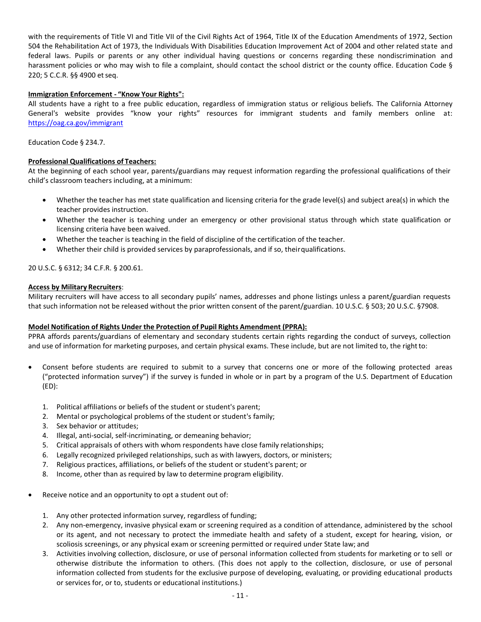with the requirements of Title VI and Title VII of the Civil Rights Act of 1964, Title IX of the Education Amendments of 1972, Section 504 the Rehabilitation Act of 1973, the Individuals With Disabilities Education Improvement Act of 2004 and other related state and federal laws. Pupils or parents or any other individual having questions or concerns regarding these nondiscrimination and harassment policies or who may wish to file a complaint, should contact the school district or the county office. Education Code § 220; 5 C.C.R. §§ 4900 etseq.

## **Immigration Enforcement - "Know Your Rights":**

All students have a right to a free public education, regardless of immigration status or religious beliefs. The California Attorney General's website provides "know your rights" resources for immigrant students and family members online at: <https://oag.ca.gov/immigrant>

Education Code § 234.7.

## **Professional Qualifications of Teachers:**

At the beginning of each school year, parents/guardians may request information regarding the professional qualifications of their child's classroom teachers including, at a minimum:

- Whether the teacher has met state qualification and licensing criteria for the grade level(s) and subject area(s) in which the teacher provides instruction.
- Whether the teacher is teaching under an emergency or other provisional status through which state qualification or licensing criteria have been waived.
- Whether the teacher is teaching in the field of discipline of the certification of the teacher.
- Whether their child is provided services by paraprofessionals, and if so, their qualifications.

20 U.S.C. § 6312; 34 C.F.R. § 200.61.

## **Access by Military Recruiters**:

Military recruiters will have access to all secondary pupils' names, addresses and phone listings unless a parent/guardian requests that such information not be released without the prior written consent of the parent/guardian. 10 U.S.C. § 503; 20 U.S.C. §7908.

## **Model Notification of Rights Under the Protection of Pupil Rights Amendment (PPRA):**

PPRA affords parents/guardians of elementary and secondary students certain rights regarding the conduct of surveys, collection and use of information for marketing purposes, and certain physical exams. These include, but are not limited to, the rightto:

- Consent before students are required to submit to a survey that concerns one or more of the following protected areas ("protected information survey") if the survey is funded in whole or in part by a program of the U.S. Department of Education (ED):
	- 1. Political affiliations or beliefs of the student or student's parent;
	- 2. Mental or psychological problems of the student or student's family;
	- 3. Sex behavior or attitudes;
	- 4. Illegal, anti-social, self-incriminating, or demeaning behavior;
	- 5. Critical appraisals of others with whom respondents have close family relationships;
	- 6. Legally recognized privileged relationships, such as with lawyers, doctors, or ministers;
	- 7. Religious practices, affiliations, or beliefs of the student or student's parent; or
	- 8. Income, other than as required by law to determine program eligibility.
- Receive notice and an opportunity to opt a student out of:
	- 1. Any other protected information survey, regardless of funding;
	- 2. Any non-emergency, invasive physical exam or screening required as a condition of attendance, administered by the school or its agent, and not necessary to protect the immediate health and safety of a student, except for hearing, vision, or scoliosis screenings, or any physical exam or screening permitted or required under State law; and
	- 3. Activities involving collection, disclosure, or use of personal information collected from students for marketing or to sell or otherwise distribute the information to others. (This does not apply to the collection, disclosure, or use of personal information collected from students for the exclusive purpose of developing, evaluating, or providing educational products or services for, or to, students or educational institutions.)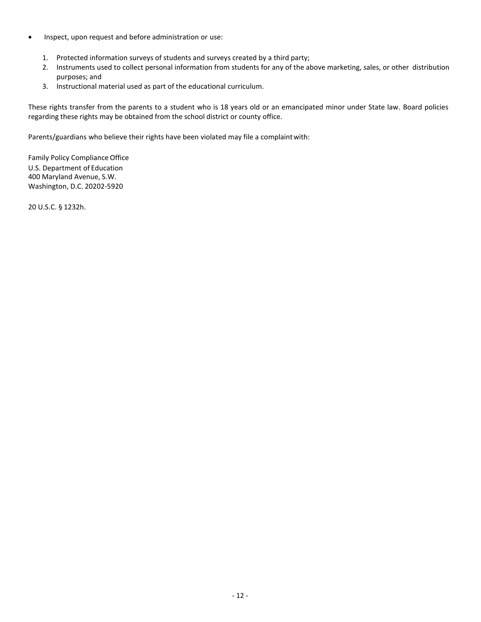- Inspect, upon request and before administration or use:
	- 1. Protected information surveys of students and surveys created by a third party;
	- 2. Instruments used to collect personal information from students for any of the above marketing, sales, or other distribution purposes; and
	- 3. Instructional material used as part of the educational curriculum.

These rights transfer from the parents to a student who is 18 years old or an emancipated minor under State law. Board policies regarding these rights may be obtained from the school district or county office.

Parents/guardians who believe their rights have been violated may file a complaintwith:

Family Policy Compliance Office U.S. Department of Education 400 Maryland Avenue, S.W. Washington, D.C. 20202-5920

20 U.S.C. § 1232h.